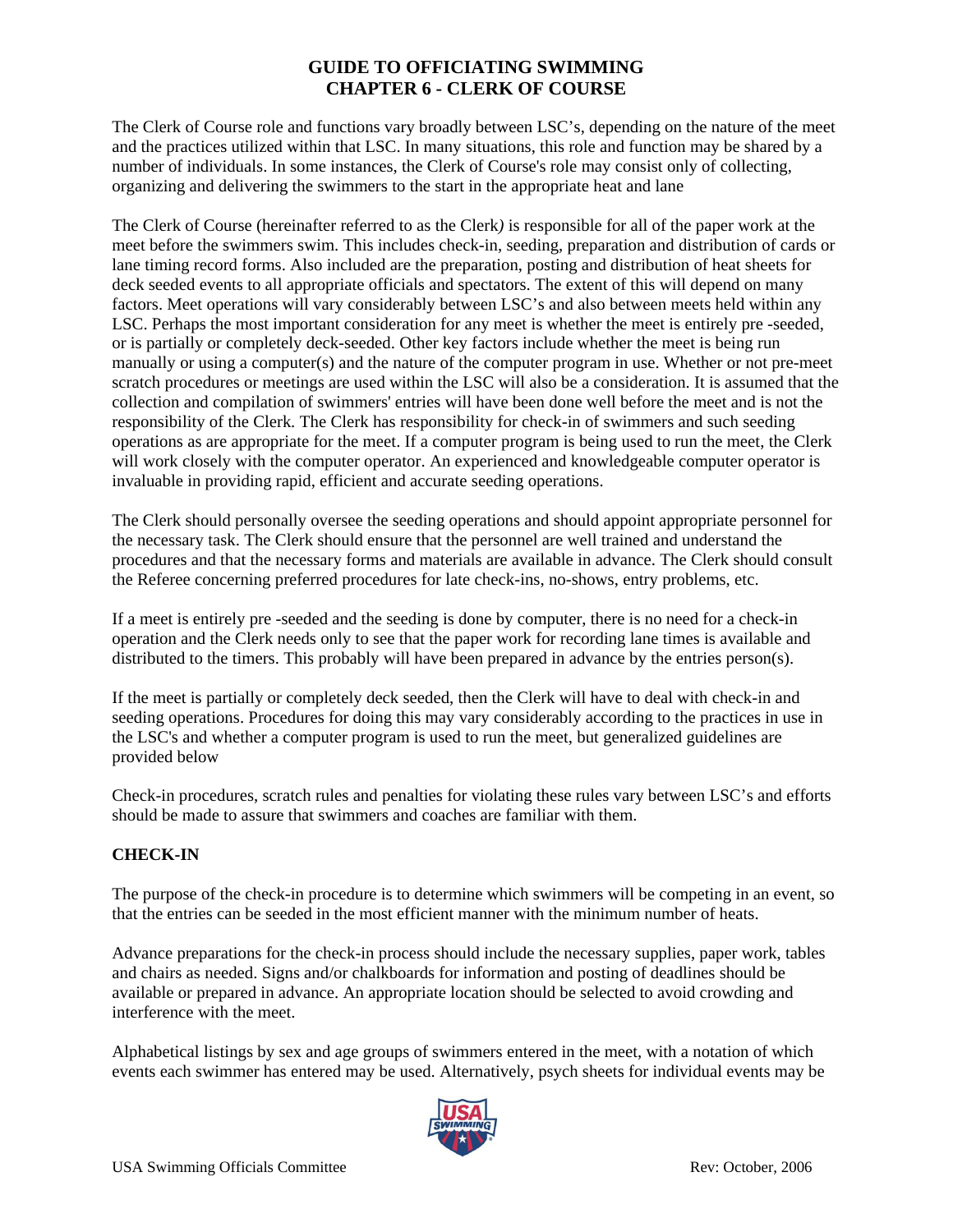The Clerk of Course role and functions vary broadly between LSC's, depending on the nature of the meet and the practices utilized within that LSC. In many situations, this role and function may be shared by a number of individuals. In some instances, the Clerk of Course's role may consist only of collecting, organizing and delivering the swimmers to the start in the appropriate heat and lane

The Clerk of Course (hereinafter referred to as the Clerk*)* is responsible for all of the paper work at the meet before the swimmers swim. This includes check-in, seeding, preparation and distribution of cards or lane timing record forms. Also included are the preparation, posting and distribution of heat sheets for deck seeded events to all appropriate officials and spectators. The extent of this will depend on many factors. Meet operations will vary considerably between LSC's and also between meets held within any LSC. Perhaps the most important consideration for any meet is whether the meet is entirely pre -seeded, or is partially or completely deck-seeded. Other key factors include whether the meet is being run manually or using a computer(s) and the nature of the computer program in use. Whether or not pre-meet scratch procedures or meetings are used within the LSC will also be a consideration. It is assumed that the collection and compilation of swimmers' entries will have been done well before the meet and is not the responsibility of the Clerk*.* The Clerk has responsibility for check-in of swimmers and such seeding operations as are appropriate for the meet. If a computer program is being used to run the meet, the Clerk will work closely with the computer operator. An experienced and knowledgeable computer operator is invaluable in providing rapid, efficient and accurate seeding operations.

The Clerk should personally oversee the seeding operations and should appoint appropriate personnel for the necessary task. The Clerk should ensure that the personnel are well trained and understand the procedures and that the necessary forms and materials are available in advance. The Clerk should consult the Referee concerning preferred procedures for late check-ins, no-shows, entry problems, etc.

If a meet is entirely pre -seeded and the seeding is done by computer, there is no need for a check-in operation and the Clerk needs only to see that the paper work for recording lane times is available and distributed to the timers. This probably will have been prepared in advance by the entries person(s).

If the meet is partially or completely deck seeded, then the Clerk will have to deal with check-in and seeding operations. Procedures for doing this may vary considerably according to the practices in use in the LSC's and whether a computer program is used to run the meet, but generalized guidelines are provided below

Check-in procedures, scratch rules and penalties for violating these rules vary between LSC's and efforts should be made to assure that swimmers and coaches are familiar with them.

#### **CHECK-IN**

The purpose of the check-in procedure is to determine which swimmers will be competing in an event, so that the entries can be seeded in the most efficient manner with the minimum number of heats.

Advance preparations for the check-in process should include the necessary supplies, paper work, tables and chairs as needed. Signs and/or chalkboards for information and posting of deadlines should be available or prepared in advance. An appropriate location should be selected to avoid crowding and interference with the meet.

Alphabetical listings by sex and age groups of swimmers entered in the meet, with a notation of which events each swimmer has entered may be used. Alternatively, psych sheets for individual events may be

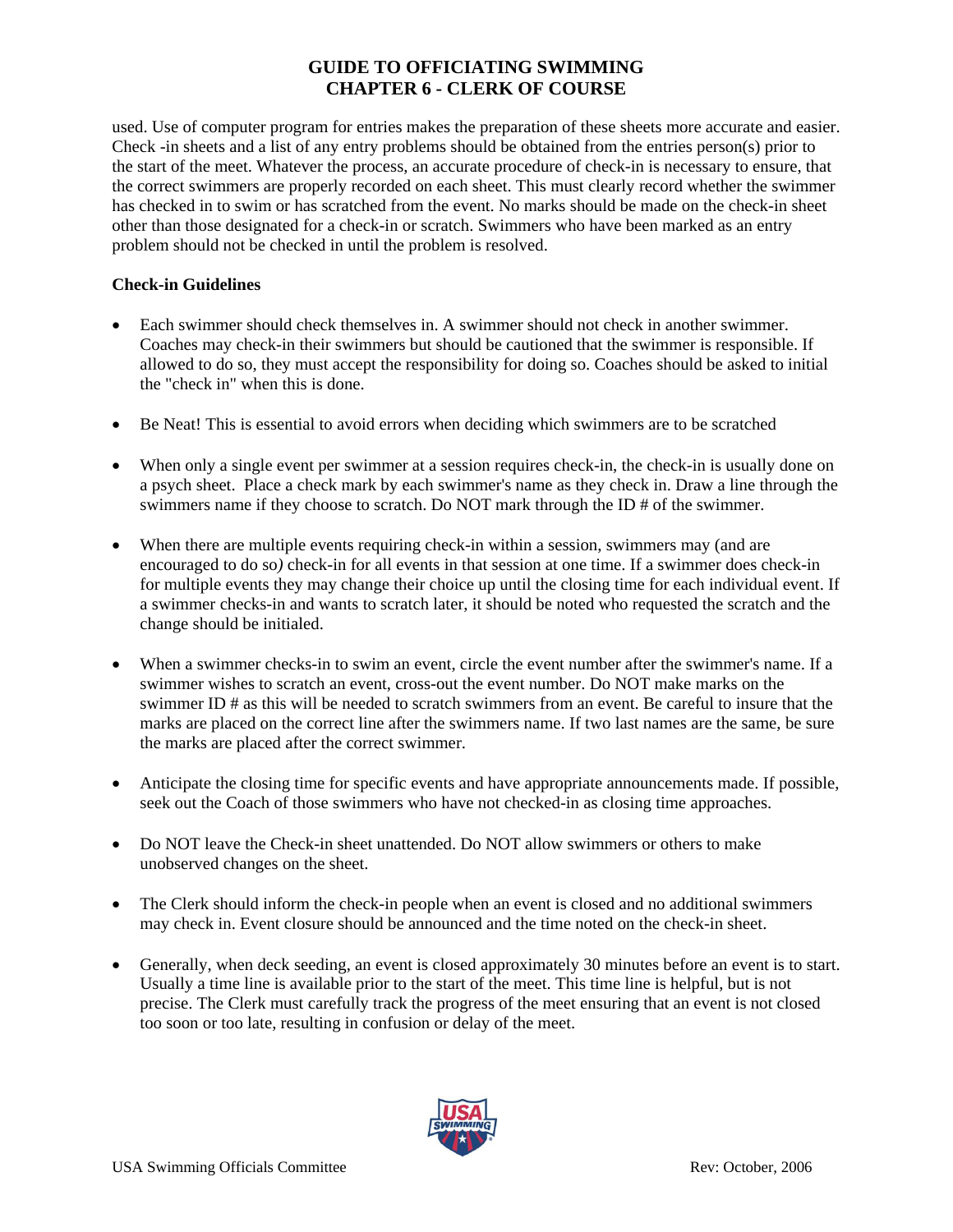used. Use of computer program for entries makes the preparation of these sheets more accurate and easier. Check -in sheets and a list of any entry problems should be obtained from the entries person(s) prior to the start of the meet. Whatever the process, an accurate procedure of check-in is necessary to ensure, that the correct swimmers are properly recorded on each sheet. This must clearly record whether the swimmer has checked in to swim or has scratched from the event. No marks should be made on the check-in sheet other than those designated for a check-in or scratch. Swimmers who have been marked as an entry problem should not be checked in until the problem is resolved.

#### **Check-in Guidelines**

- Each swimmer should check themselves in. A swimmer should not check in another swimmer. Coaches may check-in their swimmers but should be cautioned that the swimmer is responsible. If allowed to do so, they must accept the responsibility for doing so. Coaches should be asked to initial the "check in" when this is done.
- Be Neat! This is essential to avoid errors when deciding which swimmers are to be scratched
- When only a single event per swimmer at a session requires check-in, the check-in is usually done on a psych sheet. Place a check mark by each swimmer's name as they check in. Draw a line through the swimmers name if they choose to scratch. Do NOT mark through the ID # of the swimmer.
- When there are multiple events requiring check-in within a session, swimmers may (and are encouraged to do so*)* check-in for all events in that session at one time. If a swimmer does check-in for multiple events they may change their choice up until the closing time for each individual event. If a swimmer checks-in and wants to scratch later, it should be noted who requested the scratch and the change should be initialed.
- When a swimmer checks-in to swim an event, circle the event number after the swimmer's name. If a swimmer wishes to scratch an event, cross-out the event number. Do NOT make marks on the swimmer ID # as this will be needed to scratch swimmers from an event. Be careful to insure that the marks are placed on the correct line after the swimmers name. If two last names are the same, be sure the marks are placed after the correct swimmer.
- Anticipate the closing time for specific events and have appropriate announcements made. If possible, seek out the Coach of those swimmers who have not checked-in as closing time approaches.
- Do NOT leave the Check-in sheet unattended. Do NOT allow swimmers or others to make unobserved changes on the sheet.
- The Clerk should inform the check-in people when an event is closed and no additional swimmers may check in. Event closure should be announced and the time noted on the check-in sheet.
- Generally, when deck seeding, an event is closed approximately 30 minutes before an event is to start. Usually a time line is available prior to the start of the meet. This time line is helpful, but is not precise. The Clerk must carefully track the progress of the meet ensuring that an event is not closed too soon or too late, resulting in confusion or delay of the meet.

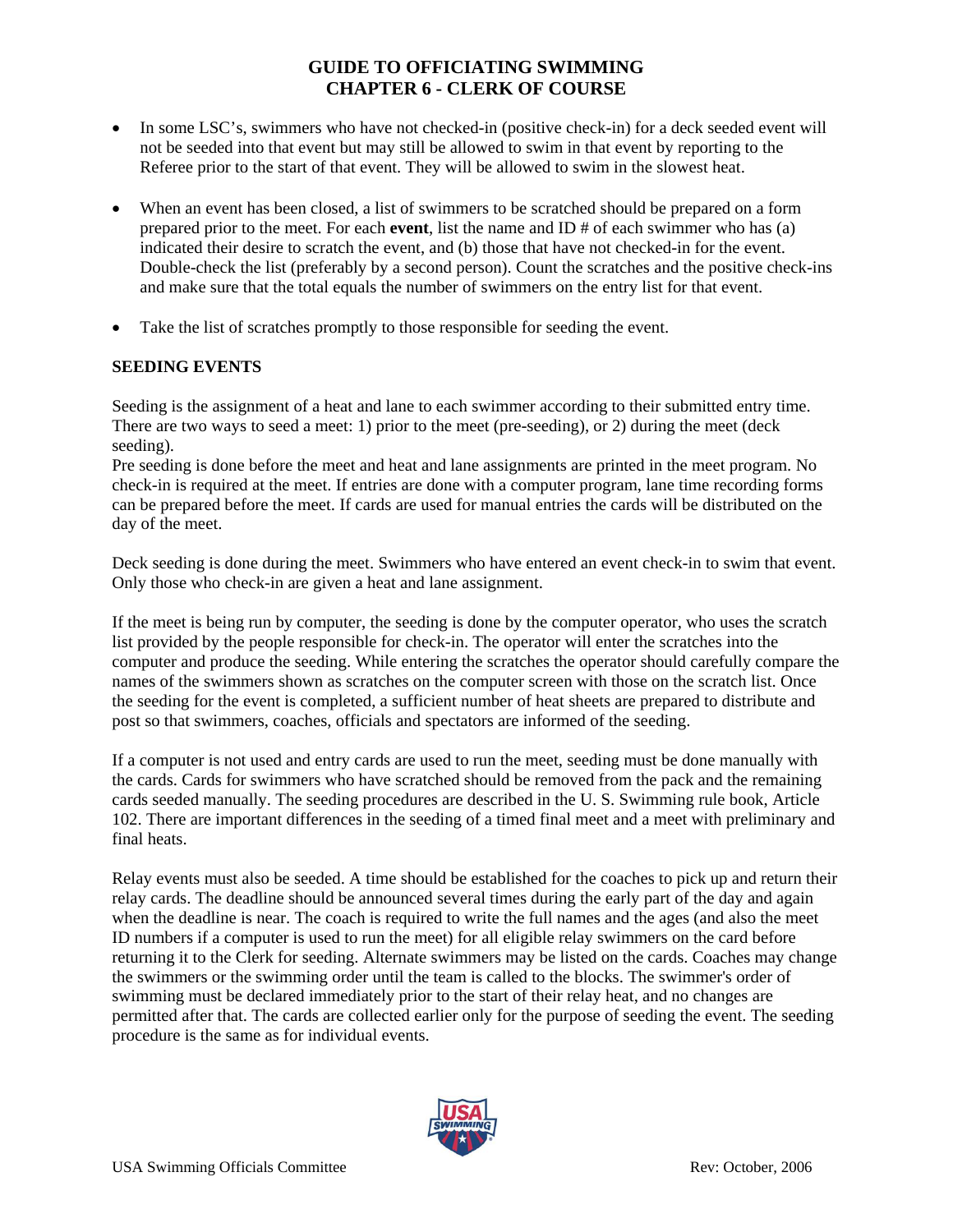- In some LSC's, swimmers who have not checked-in (positive check-in) for a deck seeded event will not be seeded into that event but may still be allowed to swim in that event by reporting to the Referee prior to the start of that event. They will be allowed to swim in the slowest heat.
- When an event has been closed, a list of swimmers to be scratched should be prepared on a form prepared prior to the meet. For each **event**, list the name and ID # of each swimmer who has (a) indicated their desire to scratch the event, and (b) those that have not checked-in for the event. Double-check the list (preferably by a second person). Count the scratches and the positive check-ins and make sure that the total equals the number of swimmers on the entry list for that event.
- Take the list of scratches promptly to those responsible for seeding the event.

#### **SEEDING EVENTS**

Seeding is the assignment of a heat and lane to each swimmer according to their submitted entry time. There are two ways to seed a meet: 1) prior to the meet (pre-seeding), or 2) during the meet (deck seeding).

Pre seeding is done before the meet and heat and lane assignments are printed in the meet program. No check-in is required at the meet. If entries are done with a computer program, lane time recording forms can be prepared before the meet. If cards are used for manual entries the cards will be distributed on the day of the meet.

Deck seeding is done during the meet. Swimmers who have entered an event check-in to swim that event. Only those who check-in are given a heat and lane assignment.

If the meet is being run by computer, the seeding is done by the computer operator, who uses the scratch list provided by the people responsible for check-in. The operator will enter the scratches into the computer and produce the seeding. While entering the scratches the operator should carefully compare the names of the swimmers shown as scratches on the computer screen with those on the scratch list. Once the seeding for the event is completed, a sufficient number of heat sheets are prepared to distribute and post so that swimmers, coaches, officials and spectators are informed of the seeding.

If a computer is not used and entry cards are used to run the meet, seeding must be done manually with the cards. Cards for swimmers who have scratched should be removed from the pack and the remaining cards seeded manually. The seeding procedures are described in the U. S. Swimming rule book, Article 102. There are important differences in the seeding of a timed final meet and a meet with preliminary and final heats.

Relay events must also be seeded. A time should be established for the coaches to pick up and return their relay cards. The deadline should be announced several times during the early part of the day and again when the deadline is near. The coach is required to write the full names and the ages (and also the meet ID numbers if a computer is used to run the meet) for all eligible relay swimmers on the card before returning it to the Clerk for seeding. Alternate swimmers may be listed on the cards. Coaches may change the swimmers or the swimming order until the team is called to the blocks. The swimmer's order of swimming must be declared immediately prior to the start of their relay heat, and no changes are permitted after that. The cards are collected earlier only for the purpose of seeding the event. The seeding procedure is the same as for individual events.